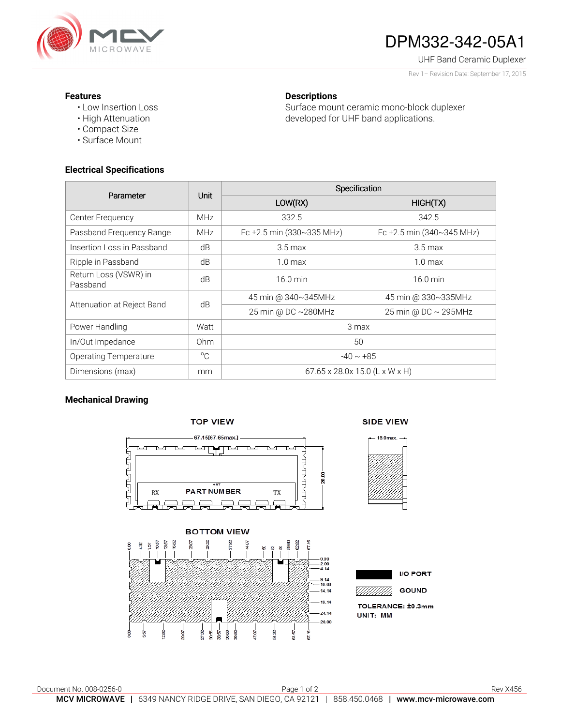

# DPM332-342-05A1

UHF Band Ceramic Duplexer

Rev 1– Revision Date: September 17, 2015

### **Features**

• Low Insertion Loss • High Attenuation

## **Descriptions**

Surface mount ceramic mono-block duplexer developed for UHF band applications.

## **Electrical Specifications**

• Compact Size • Surface Mount

| Parameter                         | <b>Unit</b>     | Specification                  |                           |
|-----------------------------------|-----------------|--------------------------------|---------------------------|
|                                   |                 | LOW(RX)                        | HIGH(TX)                  |
| Center Frequency                  | <b>MHz</b>      | 332.5                          | 342.5                     |
| Passband Frequency Range          | <b>MHz</b>      | Fc ±2.5 min (330~335 MHz)      | Fc ±2.5 min (340~345 MHz) |
| Insertion Loss in Passband        | dB              | $3.5 \text{ max}$              | $3.5 \,\mathrm{max}$      |
| Ripple in Passband                | dB              | 1.0 <sub>max</sub>             | 1.0 <sub>max</sub>        |
| Return Loss (VSWR) in<br>Passband | dB              | $16.0 \text{ min}$             | $16.0 \text{ min}$        |
| Attenuation at Reject Band        | dB              | 45 min @ 340~345MHz            | 45 min @ 330~335MHz       |
|                                   |                 | 25 min @ DC ~280MHz            | 25 min @ DC ~ 295MHz      |
| Power Handling                    | Watt            | 3 max                          |                           |
| In/Out Impedance                  | 0 <sub>hm</sub> | 50                             |                           |
| <b>Operating Temperature</b>      | $^{\circ}$ C    | $-40 \sim +85$                 |                           |
| Dimensions (max)                  | mm              | 67.65 x 28.0x 15.0 (L x W x H) |                           |

## **Mechanical Drawing**



27.32-5<br>8 88 a<br>Sa

- 16<br>8

28

ğ

å



0.00<br>2.00<br>4.14

9.14<br>10.00

14.14

 $19.14$ 

24.14

28.00

TOLERANCE: ±0.3mm UNIT: MM



si se

615

P.O.